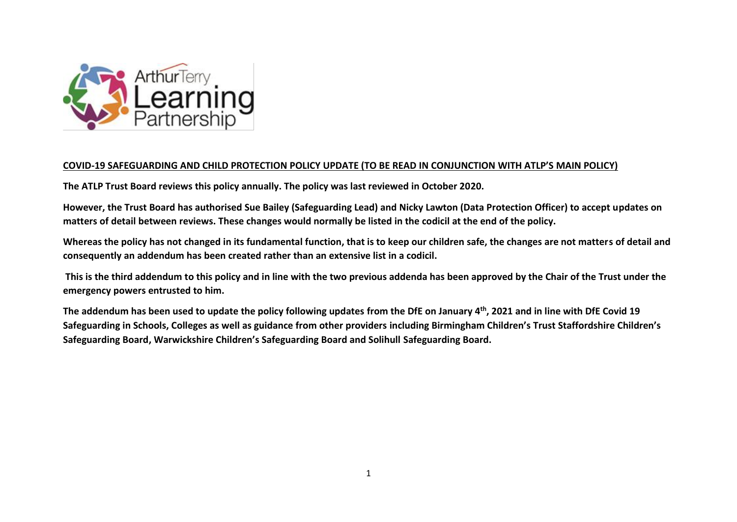

## **COVID-19 SAFEGUARDING AND CHILD PROTECTION POLICY UPDATE (TO BE READ IN CONJUNCTION WITH ATLP'S MAIN POLICY)**

**The ATLP Trust Board reviews this policy annually. The policy was last reviewed in October 2020.**

**However, the Trust Board has authorised Sue Bailey (Safeguarding Lead) and Nicky Lawton (Data Protection Officer) to accept updates on matters of detail between reviews. These changes would normally be listed in the codicil at the end of the policy.**

**Whereas the policy has not changed in its fundamental function, that is to keep our children safe, the changes are not matters of detail and consequently an addendum has been created rather than an extensive list in a codicil.**

**This is the third addendum to this policy and in line with the two previous addenda has been approved by the Chair of the Trust under the emergency powers entrusted to him.** 

**The addendum has been used to update the policy following updates from the DfE on January 4th, 2021 and in line with DfE Covid 19 Safeguarding in Schools, Colleges as well as guidance from other providers including Birmingham Children's Trust Staffordshire Children's Safeguarding Board, Warwickshire Children's Safeguarding Board and Solihull Safeguarding Board.**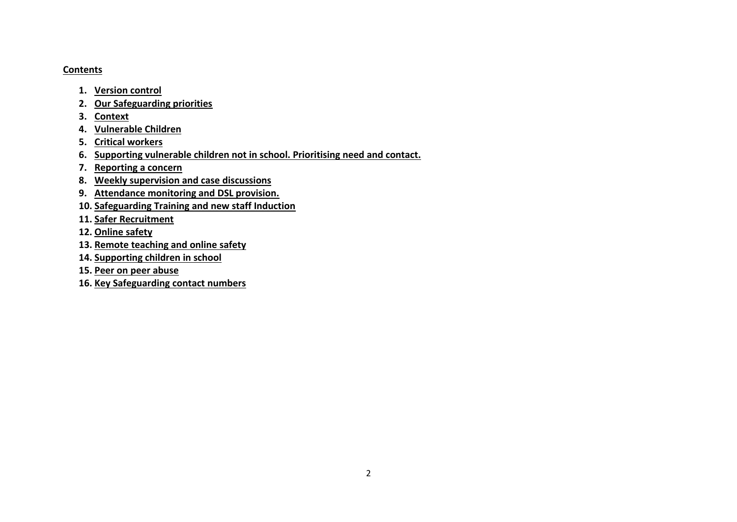#### **Contents**

- **1. Version control**
- **2. Our Safeguarding priorities**
- **3. Context**
- **4. Vulnerable Children**
- **5. Critical workers**
- **6. Supporting vulnerable children not in school. Prioritising need and contact.**
- **7. Reporting a concern**
- **8. Weekly supervision and case discussions**
- **9. Attendance monitoring and DSL provision.**
- **10. Safeguarding Training and new staff Induction**
- **11. Safer Recruitment**
- **12. Online safety**
- **13. Remote teaching and online safety**
- **14. Supporting children in school**
- **15. Peer on peer abuse**
- **16. Key Safeguarding contact numbers**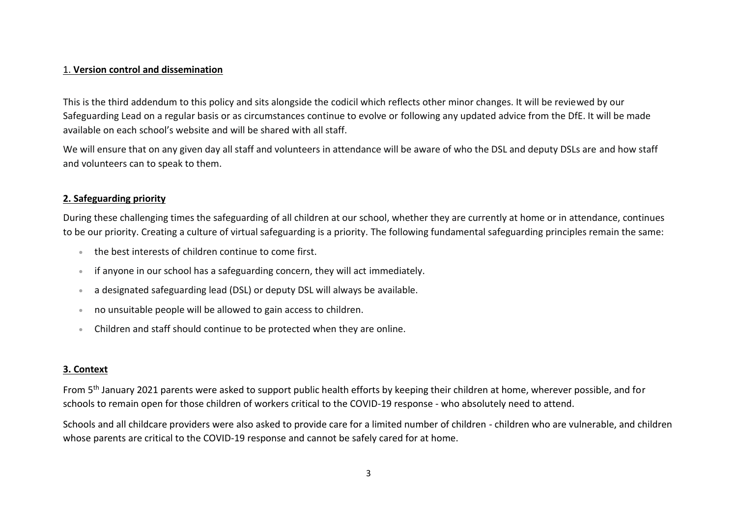### 1. **Version control and dissemination**

This is the third addendum to this policy and sits alongside the codicil which reflects other minor changes. It will be reviewed by our Safeguarding Lead on a regular basis or as circumstances continue to evolve or following any updated advice from the DfE. It will be made available on each school's website and will be shared with all staff.

We will ensure that on any given day all staff and volunteers in attendance will be aware of who the DSL and deputy DSLs are and how staff and volunteers can to speak to them.

# **2. Safeguarding priority**

During these challenging times the safeguarding of all children at our school, whether they are currently at home or in attendance, continues to be our priority. Creating a culture of virtual safeguarding is a priority. The following fundamental safeguarding principles remain the same:

- the best interests of children continue to come first.
- if anyone in our school has a safeguarding concern, they will act immediately.
- a designated safeguarding lead (DSL) or deputy DSL will always be available.
- no unsuitable people will be allowed to gain access to children.
- Children and staff should continue to be protected when they are online.

# **3. Context**

From 5<sup>th</sup> January 2021 parents were asked to support public health efforts by keeping their children at home, wherever possible, and for schools to remain open for those children of workers critical to the COVID-19 response - who absolutely need to attend.

Schools and all childcare providers were also asked to provide care for a limited number of children - children who are vulnerable, and children whose parents are critical to the COVID-19 response and cannot be safely cared for at home.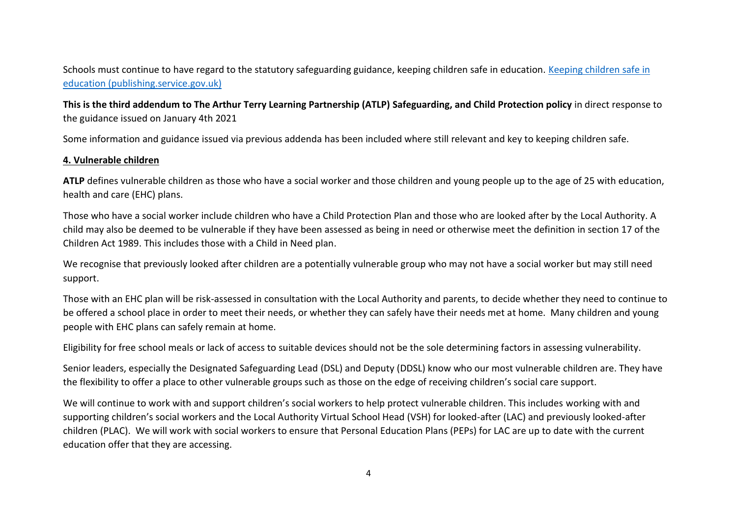Schools must continue to have regard to the statutory safeguarding guidance, keeping children safe in education. [Keeping children safe in](https://assets.publishing.service.gov.uk/government/uploads/system/uploads/attachment_data/file/912592/Keeping_children_safe_in_education_Sep_2020.pdf)  [education \(publishing.service.gov.uk\)](https://assets.publishing.service.gov.uk/government/uploads/system/uploads/attachment_data/file/912592/Keeping_children_safe_in_education_Sep_2020.pdf)

**This is the third addendum to The Arthur Terry Learning Partnership (ATLP) Safeguarding, and Child Protection policy** in direct response to the guidance issued on January 4th 2021

Some information and guidance issued via previous addenda has been included where still relevant and key to keeping children safe.

## **4. Vulnerable children**

**ATLP** defines vulnerable children as those who have a social worker and those children and young people up to the age of 25 with education, health and care (EHC) plans.

Those who have a social worker include children who have a Child Protection Plan and those who are looked after by the Local Authority. A child may also be deemed to be vulnerable if they have been assessed as being in need or otherwise meet the definition in section 17 of the Children Act 1989. This includes those with a Child in Need plan.

We recognise that previously looked after children are a potentially vulnerable group who may not have a social worker but may still need support.

Those with an EHC plan will be risk-assessed in consultation with the Local Authority and parents, to decide whether they need to continue to be offered a school place in order to meet their needs, or whether they can safely have their needs met at home. Many children and young people with EHC plans can safely remain at home.

Eligibility for free school meals or lack of access to suitable devices should not be the sole determining factors in assessing vulnerability.

Senior leaders, especially the Designated Safeguarding Lead (DSL) and Deputy (DDSL) know who our most vulnerable children are. They have the flexibility to offer a place to other vulnerable groups such as those on the edge of receiving children's social care support.

We will continue to work with and support children's social workers to help protect vulnerable children. This includes working with and supporting children's social workers and the Local Authority Virtual School Head (VSH) for looked-after (LAC) and previously looked-after children (PLAC). We will work with social workers to ensure that Personal Education Plans (PEPs) for LAC are up to date with the current education offer that they are accessing.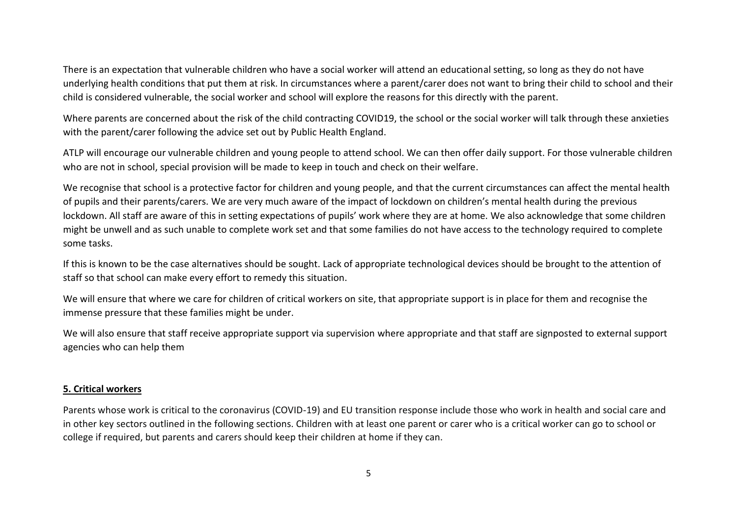There is an expectation that vulnerable children who have a social worker will attend an educational setting, so long as they do not have underlying health conditions that put them at risk. In circumstances where a parent/carer does not want to bring their child to school and their child is considered vulnerable, the social worker and school will explore the reasons for this directly with the parent.

Where parents are concerned about the risk of the child contracting COVID19, the school or the social worker will talk through these anxieties with the parent/carer following the advice set out by Public Health England.

ATLP will encourage our vulnerable children and young people to attend school. We can then offer daily support. For those vulnerable children who are not in school, special provision will be made to keep in touch and check on their welfare.

We recognise that school is a protective factor for children and young people, and that the current circumstances can affect the mental health of pupils and their parents/carers. We are very much aware of the impact of lockdown on children's mental health during the previous lockdown. All staff are aware of this in setting expectations of pupils' work where they are at home. We also acknowledge that some children might be unwell and as such unable to complete work set and that some families do not have access to the technology required to complete some tasks.

If this is known to be the case alternatives should be sought. Lack of appropriate technological devices should be brought to the attention of staff so that school can make every effort to remedy this situation.

We will ensure that where we care for children of critical workers on site, that appropriate support is in place for them and recognise the immense pressure that these families might be under.

We will also ensure that staff receive appropriate support via supervision where appropriate and that staff are signposted to external support agencies who can help them

## **5. Critical workers**

Parents whose work is critical to the coronavirus (COVID-19) and EU transition response include those who work in health and social care and in other key sectors outlined in the following sections. Children with at least one parent or carer who is a critical worker can go to school or college if required, but parents and carers should keep their children at home if they can.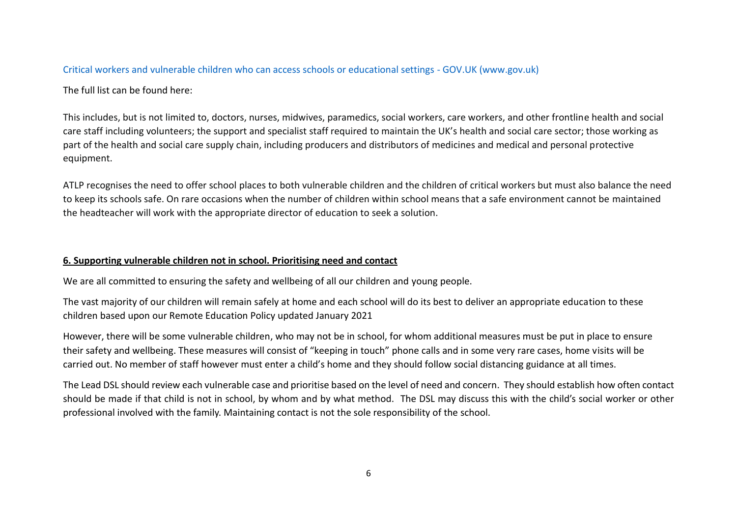## [Critical workers and vulnerable children who can access schools or educational settings -](https://www.gov.uk/government/publications/coronavirus-covid-19-maintaining-educational-provision?utm_source=4%20January%202021%20C19&utm_medium=Daily%20Email%20C19&utm_campaign=DfE%20C19) GOV.UK (www.gov.uk)

The full list can be found here:

This includes, but is not limited to, doctors, nurses, midwives, paramedics, social workers, care workers, and other frontline health and social care staff including volunteers; the support and specialist staff required to maintain the UK's health and social care sector; those working as part of the health and social care supply chain, including producers and distributors of medicines and medical and personal protective equipment.

ATLP recognises the need to offer school places to both vulnerable children and the children of critical workers but must also balance the need to keep its schools safe. On rare occasions when the number of children within school means that a safe environment cannot be maintained the headteacher will work with the appropriate director of education to seek a solution.

# **6. Supporting vulnerable children not in school. Prioritising need and contact**

We are all committed to ensuring the safety and wellbeing of all our children and young people.

The vast majority of our children will remain safely at home and each school will do its best to deliver an appropriate education to these children based upon our Remote Education Policy updated January 2021

However, there will be some vulnerable children, who may not be in school, for whom additional measures must be put in place to ensure their safety and wellbeing. These measures will consist of "keeping in touch" phone calls and in some very rare cases, home visits will be carried out. No member of staff however must enter a child's home and they should follow social distancing guidance at all times.

The Lead DSL should review each vulnerable case and prioritise based on the level of need and concern. They should establish how often contact should be made if that child is not in school, by whom and by what method. The DSL may discuss this with the child's social worker or other professional involved with the family. Maintaining contact is not the sole responsibility of the school.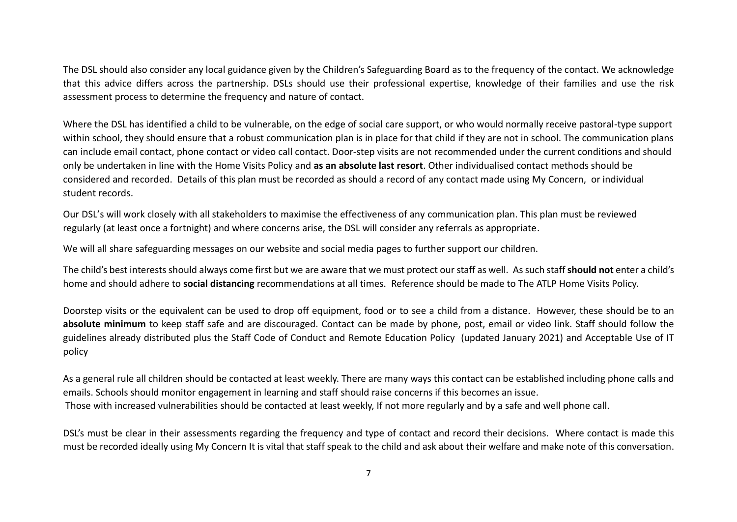The DSL should also consider any local guidance given by the Children's Safeguarding Board as to the frequency of the contact. We acknowledge that this advice differs across the partnership. DSLs should use their professional expertise, knowledge of their families and use the risk assessment process to determine the frequency and nature of contact.

Where the DSL has identified a child to be vulnerable, on the edge of social care support, or who would normally receive pastoral-type support within school, they should ensure that a robust communication plan is in place for that child if they are not in school. The communication plans can include email contact, phone contact or video call contact. Door-step visits are not recommended under the current conditions and should only be undertaken in line with the Home Visits Policy and **as an absolute last resort**. Other individualised contact methods should be considered and recorded. Details of this plan must be recorded as should a record of any contact made using My Concern, or individual student records.

Our DSL's will work closely with all stakeholders to maximise the effectiveness of any communication plan. This plan must be reviewed regularly (at least once a fortnight) and where concerns arise, the DSL will consider any referrals as appropriate.

We will all share safeguarding messages on our website and social media pages to further support our children.

The child's best interests should always come first but we are aware that we must protect our staff as well. As such staff **should not** enter a child's home and should adhere to **social distancing** recommendations at all times. Reference should be made to The ATLP Home Visits Policy.

Doorstep visits or the equivalent can be used to drop off equipment, food or to see a child from a distance. However, these should be to an **absolute minimum** to keep staff safe and are discouraged. Contact can be made by phone, post, email or video link. Staff should follow the guidelines already distributed plus the Staff Code of Conduct and Remote Education Policy (updated January 2021) and Acceptable Use of IT policy

As a general rule all children should be contacted at least weekly. There are many ways this contact can be established including phone calls and emails. Schools should monitor engagement in learning and staff should raise concerns if this becomes an issue. Those with increased vulnerabilities should be contacted at least weekly, If not more regularly and by a safe and well phone call.

DSL's must be clear in their assessments regarding the frequency and type of contact and record their decisions. Where contact is made this must be recorded ideally using My Concern It is vital that staff speak to the child and ask about their welfare and make note of this conversation.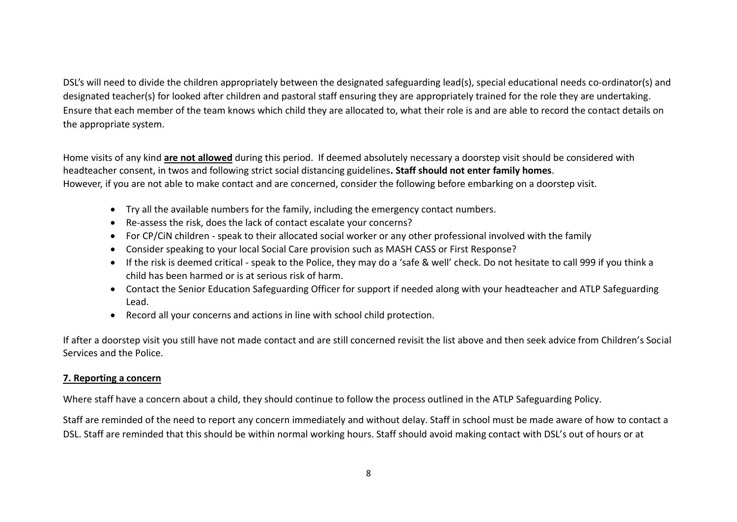DSL's will need to divide the children appropriately between the designated safeguarding lead(s), special educational needs co-ordinator(s) and designated teacher(s) for looked after children and pastoral staff ensuring they are appropriately trained for the role they are undertaking. Ensure that each member of the team knows which child they are allocated to, what their role is and are able to record the contact details on the appropriate system.

Home visits of any kind **are not allowed** during this period. If deemed absolutely necessary a doorstep visit should be considered with headteacher consent, in twos and following strict social distancing guidelines**. Staff should not enter family homes**. However, if you are not able to make contact and are concerned, consider the following before embarking on a doorstep visit.

- Try all the available numbers for the family, including the emergency contact numbers.
- Re-assess the risk, does the lack of contact escalate your concerns?
- For CP/CiN children speak to their allocated social worker or any other professional involved with the family
- Consider speaking to your local Social Care provision such as MASH CASS or First Response?
- If the risk is deemed critical speak to the Police, they may do a 'safe & well' check. Do not hesitate to call 999 if you think a child has been harmed or is at serious risk of harm.
- Contact the Senior Education Safeguarding Officer for support if needed along with your headteacher and ATLP Safeguarding Lead.
- Record all your concerns and actions in line with school child protection.

If after a doorstep visit you still have not made contact and are still concerned revisit the list above and then seek advice from Children's Social Services and the Police.

# **7. Reporting a concern**

Where staff have a concern about a child, they should continue to follow the process outlined in the ATLP Safeguarding Policy.

Staff are reminded of the need to report any concern immediately and without delay. Staff in school must be made aware of how to contact a DSL. Staff are reminded that this should be within normal working hours. Staff should avoid making contact with DSL's out of hours or at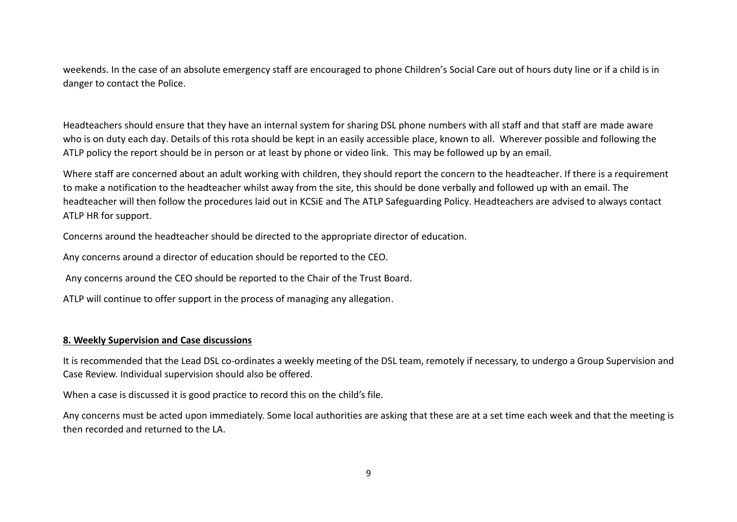weekends. In the case of an absolute emergency staff are encouraged to phone Children's Social Care out of hours duty line or if a child is in danger to contact the Police.

Headteachers should ensure that they have an internal system for sharing DSL phone numbers with all staff and that staff are made aware who is on duty each day. Details of this rota should be kept in an easily accessible place, known to all. Wherever possible and following the ATLP policy the report should be in person or at least by phone or video link. This may be followed up by an email.

Where staff are concerned about an adult working with children, they should report the concern to the headteacher. If there is a requirement to make a notification to the headteacher whilst away from the site, this should be done verbally and followed up with an email. The headteacher will then follow the procedures laid out in KCSiE and The ATLP Safeguarding Policy. Headteachers are advised to always contact ATLP HR for support.

Concerns around the headteacher should be directed to the appropriate director of education.

Any concerns around a director of education should be reported to the CEO.

Any concerns around the CEO should be reported to the Chair of the Trust Board.

ATLP will continue to offer support in the process of managing any allegation.

# **8. Weekly Supervision and Case discussions**

It is recommended that the Lead DSL co-ordinates a weekly meeting of the DSL team, remotely if necessary, to undergo a Group Supervision and Case Review. Individual supervision should also be offered.

When a case is discussed it is good practice to record this on the child's file.

Any concerns must be acted upon immediately. Some local authorities are asking that these are at a set time each week and that the meeting is then recorded and returned to the LA.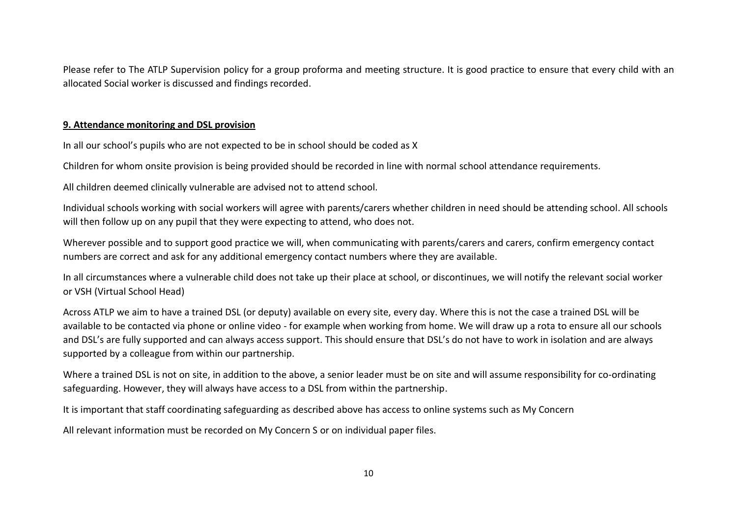Please refer to The ATLP Supervision policy for a group proforma and meeting structure. It is good practice to ensure that every child with an allocated Social worker is discussed and findings recorded.

### **9. Attendance monitoring and DSL provision**

In all our school's pupils who are not expected to be in school should be coded as X

Children for whom onsite provision is being provided should be recorded in line with normal school attendance requirements.

All children deemed clinically vulnerable are advised not to attend school.

Individual schools working with social workers will agree with parents/carers whether children in need should be attending school. All schools will then follow up on any pupil that they were expecting to attend, who does not.

Wherever possible and to support good practice we will, when communicating with parents/carers and carers, confirm emergency contact numbers are correct and ask for any additional emergency contact numbers where they are available.

In all circumstances where a vulnerable child does not take up their place at school, or discontinues, we will notify the relevant social worker or VSH (Virtual School Head)

Across ATLP we aim to have a trained DSL (or deputy) available on every site, every day. Where this is not the case a trained DSL will be available to be contacted via phone or online video - for example when working from home. We will draw up a rota to ensure all our schools and DSL's are fully supported and can always access support. This should ensure that DSL's do not have to work in isolation and are always supported by a colleague from within our partnership.

Where a trained DSL is not on site, in addition to the above, a senior leader must be on site and will assume responsibility for co-ordinating safeguarding. However, they will always have access to a DSL from within the partnership.

It is important that staff coordinating safeguarding as described above has access to online systems such as My Concern

All relevant information must be recorded on My Concern S or on individual paper files.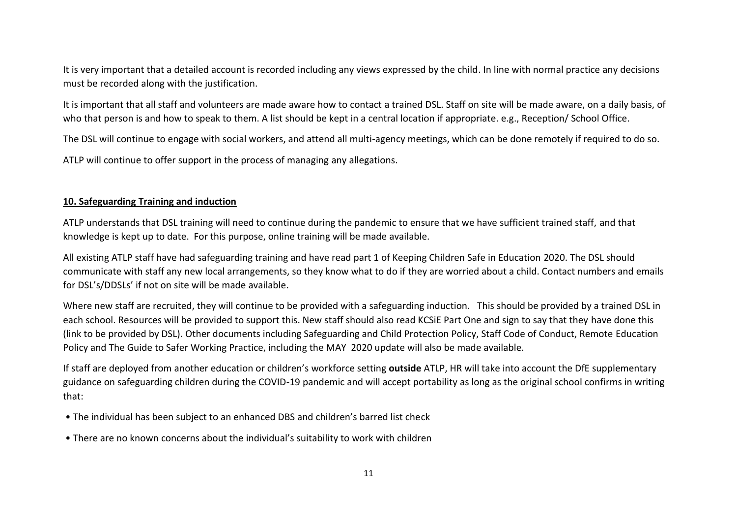It is very important that a detailed account is recorded including any views expressed by the child. In line with normal practice any decisions must be recorded along with the justification.

It is important that all staff and volunteers are made aware how to contact a trained DSL. Staff on site will be made aware, on a daily basis, of who that person is and how to speak to them. A list should be kept in a central location if appropriate. e.g., Reception/ School Office.

The DSL will continue to engage with social workers, and attend all multi-agency meetings, which can be done remotely if required to do so.

ATLP will continue to offer support in the process of managing any allegations.

# **10. Safeguarding Training and induction**

ATLP understands that DSL training will need to continue during the pandemic to ensure that we have sufficient trained staff, and that knowledge is kept up to date. For this purpose, online training will be made available.

All existing ATLP staff have had safeguarding training and have read part 1 of Keeping Children Safe in Education 2020. The DSL should communicate with staff any new local arrangements, so they know what to do if they are worried about a child. Contact numbers and emails for DSL's/DDSLs' if not on site will be made available.

Where new staff are recruited, they will continue to be provided with a safeguarding induction. This should be provided by a trained DSL in each school. Resources will be provided to support this. New staff should also read KCSiE Part One and sign to say that they have done this (link to be provided by DSL). Other documents including Safeguarding and Child Protection Policy, Staff Code of Conduct, Remote Education Policy and The Guide to Safer Working Practice, including the MAY 2020 update will also be made available.

If staff are deployed from another education or children's workforce setting **outside** ATLP, HR will take into account the DfE supplementary guidance on safeguarding children during the COVID-19 pandemic and will accept portability as long as the original school confirms in writing that:

- The individual has been subject to an enhanced DBS and children's barred list check
- There are no known concerns about the individual's suitability to work with children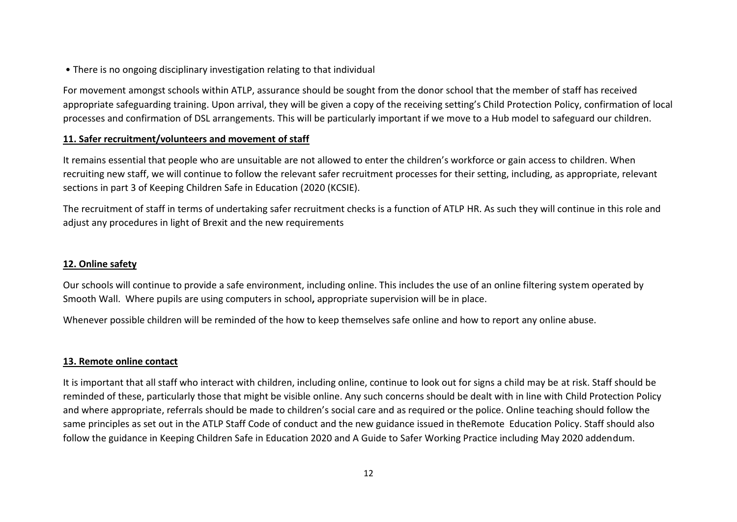• There is no ongoing disciplinary investigation relating to that individual

For movement amongst schools within ATLP, assurance should be sought from the donor school that the member of staff has received appropriate safeguarding training. Upon arrival, they will be given a copy of the receiving setting's Child Protection Policy, confirmation of local processes and confirmation of DSL arrangements. This will be particularly important if we move to a Hub model to safeguard our children.

# **11. Safer recruitment/volunteers and movement of staff**

It remains essential that people who are unsuitable are not allowed to enter the children's workforce or gain access to children. When recruiting new staff, we will continue to follow the relevant safer recruitment processes for their setting, including, as appropriate, relevant sections in part 3 of Keeping Children Safe in Education (2020 (KCSIE).

The recruitment of staff in terms of undertaking safer recruitment checks is a function of ATLP HR. As such they will continue in this role and adjust any procedures in light of Brexit and the new requirements

# **12. Online safety**

Our schools will continue to provide a safe environment, including online. This includes the use of an online filtering system operated by Smooth Wall. Where pupils are using computers in school**,** appropriate supervision will be in place.

Whenever possible children will be reminded of the how to keep themselves safe online and how to report any online abuse.

## **13. Remote online contact**

It is important that all staff who interact with children, including online, continue to look out for signs a child may be at risk. Staff should be reminded of these, particularly those that might be visible online. Any such concerns should be dealt with in line with Child Protection Policy and where appropriate, referrals should be made to children's social care and as required or the police. Online teaching should follow the same principles as set out in the ATLP Staff Code of conduct and the new guidance issued in theRemote Education Policy. Staff should also follow the guidance in Keeping Children Safe in Education 2020 and A Guide to Safer Working Practice including May 2020 addendum.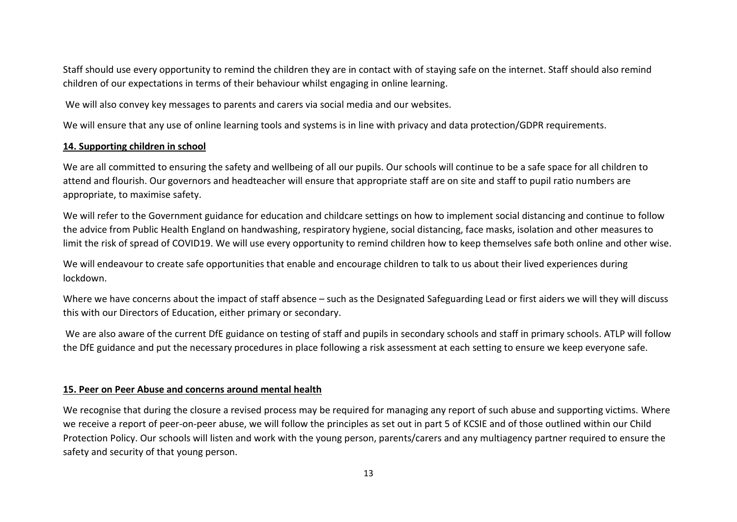Staff should use every opportunity to remind the children they are in contact with of staying safe on the internet. Staff should also remind children of our expectations in terms of their behaviour whilst engaging in online learning.

We will also convey key messages to parents and carers via social media and our websites.

We will ensure that any use of online learning tools and systems is in line with privacy and data protection/GDPR requirements.

#### **14. Supporting children in school**

We are all committed to ensuring the safety and wellbeing of all our pupils. Our schools will continue to be a safe space for all children to attend and flourish. Our governors and headteacher will ensure that appropriate staff are on site and staff to pupil ratio numbers are appropriate, to maximise safety.

We will refer to the Government guidance for education and childcare settings on how to implement social distancing and continue to follow the advice from Public Health England on handwashing, respiratory hygiene, social distancing, face masks, isolation and other measures to limit the risk of spread of COVID19. We will use every opportunity to remind children how to keep themselves safe both online and other wise.

We will endeavour to create safe opportunities that enable and encourage children to talk to us about their lived experiences during lockdown.

Where we have concerns about the impact of staff absence – such as the Designated Safeguarding Lead or first aiders we will they will discuss this with our Directors of Education, either primary or secondary.

We are also aware of the current DfE guidance on testing of staff and pupils in secondary schools and staff in primary schools. ATLP will follow the DfE guidance and put the necessary procedures in place following a risk assessment at each setting to ensure we keep everyone safe.

## **15. Peer on Peer Abuse and concerns around mental health**

We recognise that during the closure a revised process may be required for managing any report of such abuse and supporting victims. Where we receive a report of peer-on-peer abuse, we will follow the principles as set out in part 5 of KCSIE and of those outlined within our Child Protection Policy. Our schools will listen and work with the young person, parents/carers and any multiagency partner required to ensure the safety and security of that young person.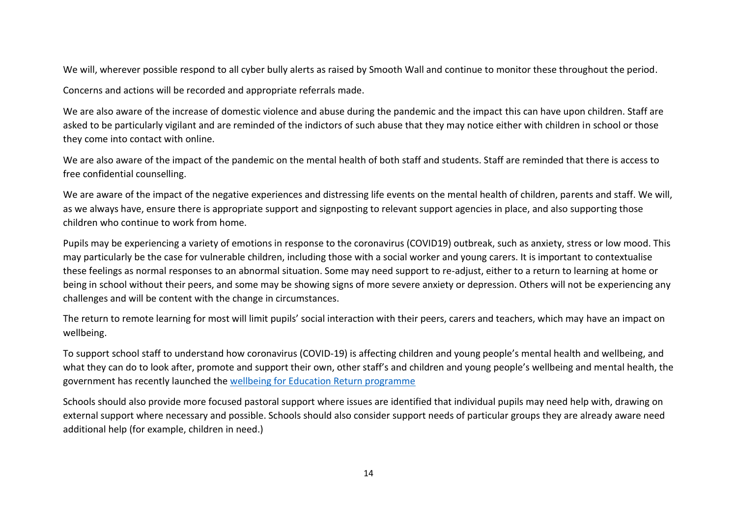We will, wherever possible respond to all cyber bully alerts as raised by Smooth Wall and continue to monitor these throughout the period.

Concerns and actions will be recorded and appropriate referrals made.

We are also aware of the increase of domestic violence and abuse during the pandemic and the impact this can have upon children. Staff are asked to be particularly vigilant and are reminded of the indictors of such abuse that they may notice either with children in school or those they come into contact with online.

We are also aware of the impact of the pandemic on the mental health of both staff and students. Staff are reminded that there is access to free confidential counselling.

We are aware of the impact of the negative experiences and distressing life events on the mental health of children, parents and staff. We will, as we always have, ensure there is appropriate support and signposting to relevant support agencies in place, and also supporting those children who continue to work from home.

Pupils may be experiencing a variety of emotions in response to the coronavirus (COVID19) outbreak, such as anxiety, stress or low mood. This may particularly be the case for vulnerable children, including those with a social worker and young carers. It is important to contextualise these feelings as normal responses to an abnormal situation. Some may need support to re-adjust, either to a return to learning at home or being in school without their peers, and some may be showing signs of more severe anxiety or depression. Others will not be experiencing any challenges and will be content with the change in circumstances.

The return to remote learning for most will limit pupils' social interaction with their peers, carers and teachers, which may have an impact on wellbeing.

To support school staff to understand how coronavirus (COVID-19) is affecting children and young people's mental health and wellbeing, and what they can do to look after, promote and support their own, other staff's and children and young people's wellbeing and mental health, the government has recently launched the [wellbeing for Education Return programme](file:///C:/Users/s.bailey/AppData/Local/Microsoft/Windows/INetCache/Content.Outlook/P16DMGO0/wellbeing%20for%20Education%20Return%20programme)

Schools should also provide more focused pastoral support where issues are identified that individual pupils may need help with, drawing on external support where necessary and possible. Schools should also consider support needs of particular groups they are already aware need additional help (for example, children in need.)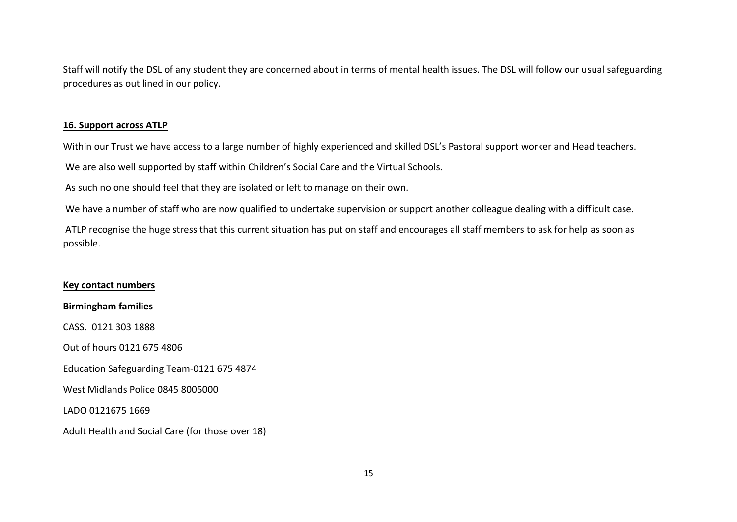Staff will notify the DSL of any student they are concerned about in terms of mental health issues. The DSL will follow our usual safeguarding procedures as out lined in our policy.

#### **16. Support across ATLP**

Within our Trust we have access to a large number of highly experienced and skilled DSL's Pastoral support worker and Head teachers.

We are also well supported by staff within Children's Social Care and the Virtual Schools.

As such no one should feel that they are isolated or left to manage on their own.

We have a number of staff who are now qualified to undertake supervision or support another colleague dealing with a difficult case.

ATLP recognise the huge stress that this current situation has put on staff and encourages all staff members to ask for help as soon as possible.

## **Key contact numbers**

**Birmingham families**

CASS. 0121 303 1888

Out of hours 0121 675 4806

Education Safeguarding Team-0121 675 4874

West Midlands Police 0845 8005000

LADO 0121675 1669

Adult Health and Social Care (for those over 18)